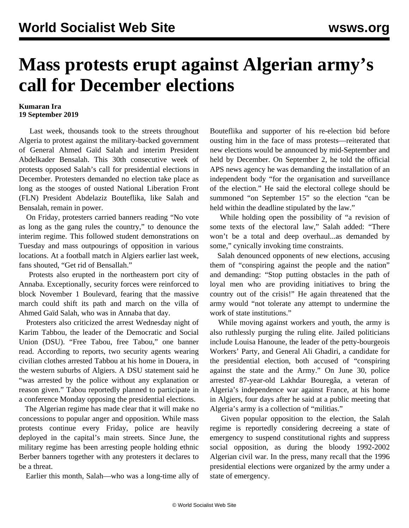## **Mass protests erupt against Algerian army's call for December elections**

## **Kumaran Ira 19 September 2019**

 Last week, thousands took to the streets throughout Algeria to protest against the military-backed government of General Ahmed Gaïd Salah and interim President Abdelkader Bensalah. This 30th consecutive week of protests opposed Salah's call for presidential elections in December. Protesters demanded no election take place as long as the stooges of ousted National Liberation Front (FLN) President Abdelaziz Bouteflika, like Salah and Bensalah, remain in power.

 On Friday, protesters carried banners reading "No vote as long as the gang rules the country," to denounce the interim regime. This followed student demonstrations on Tuesday and mass outpourings of opposition in various locations. At a football match in Algiers earlier last week, fans shouted, "Get rid of Bensallah."

 Protests also erupted in the northeastern port city of Annaba. Exceptionally, security forces were reinforced to block November 1 Boulevard, fearing that the massive march could shift its path and march on the villa of Ahmed Gaïd Salah, who was in Annaba that day.

 Protesters also criticized the arrest Wednesday night of Karim Tabbou, the leader of the Democratic and Social Union (DSU). "Free Tabou, free Tabou," one banner read. According to reports, two security agents wearing civilian clothes arrested Tabbou at his home in Douera, in the western suburbs of Algiers. A DSU statement said he "was arrested by the police without any explanation or reason given." Tabou reportedly planned to participate in a conference Monday opposing the presidential elections.

 The Algerian regime has made clear that it will make no concessions to popular anger and opposition. While mass protests continue every Friday, police are heavily deployed in the capital's main streets. Since June, the military regime has been arresting people holding ethnic Berber banners together with any protesters it declares to be a threat.

Earlier this month, Salah—who was a long-time ally of

Bouteflika and supporter of his re-election bid before ousting him in the face of mass protests—reiterated that new elections would be announced by mid-September and held by December. On September 2, he told the official APS news agency he was demanding the installation of an independent body "for the organisation and surveillance of the election." He said the electoral college should be summoned "on September 15" so the election "can be held within the deadline stipulated by the law."

 While holding open the possibility of "a revision of some texts of the electoral law," Salah added: "There won't be a total and deep overhaul...as demanded by some," cynically invoking time constraints.

 Salah denounced opponents of new elections, accusing them of "conspiring against the people and the nation" and demanding: "Stop putting obstacles in the path of loyal men who are providing initiatives to bring the country out of the crisis!" He again threatened that the army would "not tolerate any attempt to undermine the work of state institutions."

 While moving against workers and youth, the army is also ruthlessly purging the ruling elite. Jailed politicians include Louisa Hanoune, the leader of the petty-bourgeois Workers' Party, and General Ali Ghadiri, a candidate for the presidential election, both accused of "conspiring against the state and the Army." On June 30, police arrested 87-year-old Lakhdar Bouregâa, a veteran of Algeria's independence war against France, at his home in Algiers, four days after he said at a public meeting that Algeria's army is a collection of "militias."

 Given popular opposition to the election, the Salah regime is reportedly considering decreeing a state of emergency to suspend constitutional rights and suppress social opposition, as during the bloody 1992-2002 Algerian civil war. In the press, many recall that the 1996 presidential elections were organized by the army under a state of emergency.